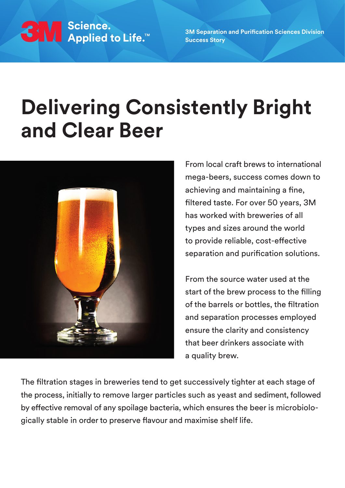

**3M Separation and Purification Sciences Division Success Story**

## **Delivering Consistently Bright and Clear Beer**



From local craft brews to international mega-beers, success comes down to achieving and maintaining a fine, filtered taste. For over 50 years, 3M has worked with breweries of all types and sizes around the world to provide reliable, cost-effective separation and purification solutions.

From the source water used at the start of the brew process to the filling of the barrels or bottles, the filtration and separation processes employed ensure the clarity and consistency that beer drinkers associate with a quality brew.

The filtration stages in breweries tend to get successively tighter at each stage of the process, initially to remove larger particles such as yeast and sediment, followed by effective removal of any spoilage bacteria, which ensures the beer is microbiologically stable in order to preserve flavour and maximise shelf life.